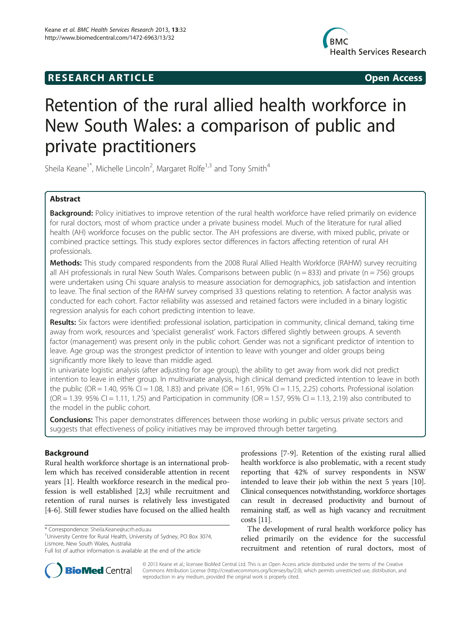# **RESEARCH ARTICLE Example 2014 12:30 The SEAR CHA RESEARCH ARTICLE**



# Retention of the rural allied health workforce in New South Wales: a comparison of public and private practitioners

Sheila Keane<sup>1\*</sup>, Michelle Lincoln<sup>2</sup>, Margaret Rolfe<sup>1,3</sup> and Tony Smith<sup>4</sup>

# Abstract

Background: Policy initiatives to improve retention of the rural health workforce have relied primarily on evidence for rural doctors, most of whom practice under a private business model. Much of the literature for rural allied health (AH) workforce focuses on the public sector. The AH professions are diverse, with mixed public, private or combined practice settings. This study explores sector differences in factors affecting retention of rural AH professionals.

Methods: This study compared respondents from the 2008 Rural Allied Health Workforce (RAHW) survey recruiting all AH professionals in rural New South Wales. Comparisons between public ( $n = 833$ ) and private ( $n = 756$ ) groups were undertaken using Chi square analysis to measure association for demographics, job satisfaction and intention to leave. The final section of the RAHW survey comprised 33 questions relating to retention. A factor analysis was conducted for each cohort. Factor reliability was assessed and retained factors were included in a binary logistic regression analysis for each cohort predicting intention to leave.

Results: Six factors were identified: professional isolation, participation in community, clinical demand, taking time away from work, resources and 'specialist generalist' work. Factors differed slightly between groups. A seventh factor (management) was present only in the public cohort. Gender was not a significant predictor of intention to leave. Age group was the strongest predictor of intention to leave with younger and older groups being significantly more likely to leave than middle aged.

In univariate logistic analysis (after adjusting for age group), the ability to get away from work did not predict intention to leave in either group. In multivariate analysis, high clinical demand predicted intention to leave in both the public (OR = 1.40, 95% CI = 1.08, 1.83) and private (OR = 1.61, 95% CI = 1.15, 2.25) cohorts. Professional isolation  $(OR = 1.39. 95\% CI = 1.11, 1.75)$  and Participation in community  $(OR = 1.57, 95\% CI = 1.13, 2.19)$  also contributed to the model in the public cohort.

**Conclusions:** This paper demonstrates differences between those working in public versus private sectors and suggests that effectiveness of policy initiatives may be improved through better targeting.

# Background

Rural health workforce shortage is an international problem which has received considerable attention in recent years [[1\]](#page-7-0). Health workforce research in the medical profession is well established [\[2,3](#page-7-0)] while recruitment and retention of rural nurses is relatively less investigated [[4-6](#page-7-0)]. Still fewer studies have focused on the allied health

<sup>1</sup>University Centre for Rural Health, University of Sydney, PO Box 3074, Lismore, New South Wales, Australia

professions [\[7](#page-7-0)-[9\]](#page-7-0). Retention of the existing rural allied health workforce is also problematic, with a recent study reporting that 42% of survey respondents in NSW intended to leave their job within the next 5 years [\[10](#page-7-0)]. Clinical consequences notwithstanding, workforce shortages can result in decreased productivity and burnout of remaining staff, as well as high vacancy and recruitment costs [[11\]](#page-7-0).

The development of rural health workforce policy has relied primarily on the evidence for the successful recruitment and retention of rural doctors, most of



© 2013 Keane et al.; licensee BioMed Central Ltd. This is an Open Access article distributed under the terms of the Creative Commons Attribution License [\(http://creativecommons.org/licenses/by/2.0\)](http://creativecommons.org/licenses/by/2.0), which permits unrestricted use, distribution, and reproduction in any medium, provided the original work is properly cited.

<sup>\*</sup> Correspondence: [Sheila.Keane@ucrh.edu.au](mailto:Sheila.Keane@ucrh.edu.au) <sup>1</sup>

Full list of author information is available at the end of the article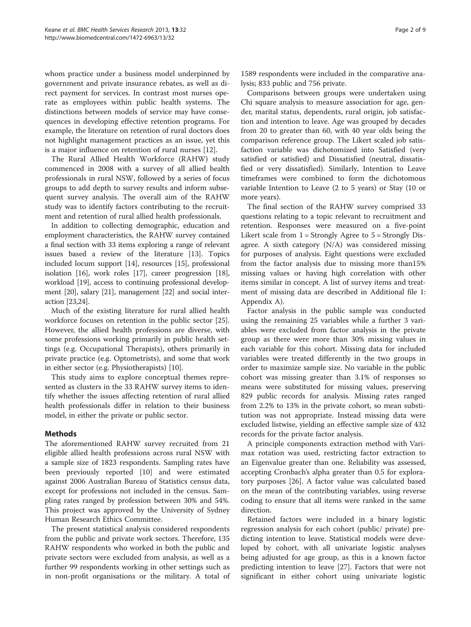whom practice under a business model underpinned by government and private insurance rebates, as well as direct payment for services. In contrast most nurses operate as employees within public health systems. The distinctions between models of service may have consequences in developing effective retention programs. For example, the literature on retention of rural doctors does not highlight management practices as an issue, yet this is a major influence on retention of rural nurses [\[12\]](#page-7-0).

The Rural Allied Health Workforce (RAHW) study commenced in 2008 with a survey of all allied health professionals in rural NSW, followed by a series of focus groups to add depth to survey results and inform subsequent survey analysis. The overall aim of the RAHW study was to identify factors contributing to the recruitment and retention of rural allied health professionals.

In addition to collecting demographic, education and employment characteristics, the RAHW survey contained a final section with 33 items exploring a range of relevant issues based a review of the literature [[13](#page-7-0)]. Topics included locum support [\[14\]](#page-7-0), resources [\[15\]](#page-7-0), professional isolation [[16](#page-7-0)], work roles [\[17](#page-7-0)], career progression [[18](#page-7-0)], workload [\[19\]](#page-7-0), access to continuing professional development [\[20\]](#page-7-0), salary [[21](#page-7-0)], management [\[22\]](#page-7-0) and social interaction [[23](#page-7-0),[24](#page-7-0)].

Much of the existing literature for rural allied health workforce focuses on retention in the public sector [\[25](#page-7-0)]. However, the allied health professions are diverse, with some professions working primarily in public health settings (e.g. Occupational Therapists), others primarily in private practice (e.g. Optometrists), and some that work in either sector (e.g. Physiotherapists) [[10\]](#page-7-0).

This study aims to explore conceptual themes represented as clusters in the 33 RAHW survey items to identify whether the issues affecting retention of rural allied health professionals differ in relation to their business model, in either the private or public sector.

# Methods

The aforementioned RAHW survey recruited from 21 eligible allied health professions across rural NSW with a sample size of 1823 respondents. Sampling rates have been previously reported [[10\]](#page-7-0) and were estimated against 2006 Australian Bureau of Statistics census data, except for professions not included in the census. Sampling rates ranged by profession between 30% and 54%. This project was approved by the University of Sydney Human Research Ethics Committee.

The present statistical analysis considered respondents from the public and private work sectors. Therefore, 135 RAHW respondents who worked in both the public and private sectors were excluded from analysis, as well as a further 99 respondents working in other settings such as in non-profit organisations or the military. A total of

1589 respondents were included in the comparative analysis; 833 public and 756 private.

Comparisons between groups were undertaken using Chi square analysis to measure association for age, gender, marital status, dependents, rural origin, job satisfaction and intention to leave. Age was grouped by decades from 20 to greater than 60, with 40 year olds being the comparison reference group. The Likert scaled job satisfaction variable was dichotomized into Satisfied (very satisfied or satisfied) and Dissatisfied (neutral, dissatisfied or very dissatisfied). Similarly, Intention to Leave timeframes were combined to form the dichotomous variable Intention to Leave (2 to 5 years) or Stay (10 or more years).

The final section of the RAHW survey comprised 33 questions relating to a topic relevant to recruitment and retention. Responses were measured on a five-point Likert scale from  $1 =$  Strongly Agree to  $5 =$  Strongly Disagree. A sixth category (N/A) was considered missing for purposes of analysis. Eight questions were excluded from the factor analysis due to missing more than15% missing values or having high correlation with other items similar in concept. A list of survey items and treatment of missing data are described in Additional file [1](#page-6-0): Appendix A).

Factor analysis in the public sample was conducted using the remaining 25 variables while a further 3 variables were excluded from factor analysis in the private group as there were more than 30% missing values in each variable for this cohort. Missing data for included variables were treated differently in the two groups in order to maximize sample size. No variable in the public cohort was missing greater than 3.1% of responses so means were substituted for missing values, preserving 829 public records for analysis. Missing rates ranged from 2.2% to 13% in the private cohort, so mean substitution was not appropriate. Instead missing data were excluded listwise, yielding an effective sample size of 432 records for the private factor analysis.

A principle components extraction method with Varimax rotation was used, restricting factor extraction to an Eigenvalue greater than one. Reliability was assessed, accepting Cronbach's alpha greater than 0.5 for exploratory purposes [[26](#page-7-0)]. A factor value was calculated based on the mean of the contributing variables, using reverse coding to ensure that all items were ranked in the same direction.

Retained factors were included in a binary logistic regression analysis for each cohort (public/ private) predicting intention to leave. Statistical models were developed by cohort, with all univariate logistic analyses being adjusted for age group, as this is a known factor predicting intention to leave [[27\]](#page-7-0). Factors that were not significant in either cohort using univariate logistic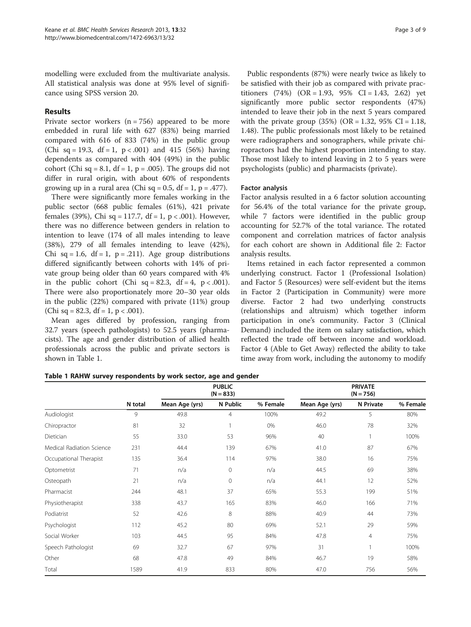modelling were excluded from the multivariate analysis. All statistical analysis was done at 95% level of significance using SPSS version 20.

# Results

Private sector workers  $(n = 756)$  appeared to be more embedded in rural life with 627 (83%) being married compared with 616 of 833 (74%) in the public group (Chi sq = 19.3, df = 1,  $p < .001$ ) and 415 (56%) having dependents as compared with 404 (49%) in the public cohort (Chi sq = 8.1, df = 1, p = .005). The groups did not differ in rural origin, with about 60% of respondents growing up in a rural area (Chi sq =  $0.5$ , df =  $1$ , p = .477).

There were significantly more females working in the public sector (668 public females (61%), 421 private females (39%), Chi sq = 117.7, df = 1, p < .001). However, there was no difference between genders in relation to intention to leave (174 of all males intending to leave (38%), 279 of all females intending to leave (42%), Chi sq = 1.6, df = 1, p = .211). Age group distributions differed significantly between cohorts with 14% of private group being older than 60 years compared with 4% in the public cohort (Chi  $sq = 82.3$ , df = 4, p < .001). There were also proportionately more 20–30 year olds in the public (22%) compared with private (11%) group (Chi sq = 82.3, df = 1,  $p < .001$ ).

Mean ages differed by profession, ranging from 32.7 years (speech pathologists) to 52.5 years (pharmacists). The age and gender distribution of allied health professionals across the public and private sectors is shown in Table 1.

Public respondents (87%) were nearly twice as likely to be satisfied with their job as compared with private practitioners  $(74%)$   $(OR = 1.93, 95%$   $CI = 1.43, 2.62)$  yet significantly more public sector respondents (47%) intended to leave their job in the next 5 years compared with the private group  $(35%) (OR = 1.32, 95% CI = 1.18,$ 1.48). The public professionals most likely to be retained were radiographers and sonographers, while private chiropractors had the highest proportion intending to stay. Those most likely to intend leaving in 2 to 5 years were psychologists (public) and pharmacists (private).

#### Factor analysis

Factor analysis resulted in a 6 factor solution accounting for 56.4% of the total variance for the private group, while 7 factors were identified in the public group accounting for 52.7% of the total variance. The rotated component and correlation matrices of factor analysis for each cohort are shown in Additional file [2](#page-6-0): Factor analysis results.

Items retained in each factor represented a common underlying construct. Factor 1 (Professional Isolation) and Factor 5 (Resources) were self-evident but the items in Factor 2 (Participation in Community) were more diverse. Factor 2 had two underlying constructs (relationships and altruism) which together inform participation in one's community. Factor 3 (Clinical Demand) included the item on salary satisfaction, which reflected the trade off between income and workload. Factor 4 (Able to Get Away) reflected the ability to take time away from work, including the autonomy to modify

|                           |         | <b>PUBLIC</b><br>$(N = 833)$ |                |          | <b>PRIVATE</b><br>$(N = 756)$ |                |          |
|---------------------------|---------|------------------------------|----------------|----------|-------------------------------|----------------|----------|
|                           | N total | Mean Age (yrs)               | N Public       | % Female | Mean Age (yrs)                | N Private      | % Female |
| Audiologist               | 9       | 49.8                         | $\overline{4}$ | 100%     | 49.2                          | 5              | 80%      |
| Chiropractor              | 81      | 32                           |                | 0%       | 46.0                          | 78             | 32%      |
| Dietician                 | 55      | 33.0                         | 53             | 96%      | 40                            |                | 100%     |
| Medical Radiation Science | 231     | 44.4                         | 139            | 67%      | 41.0                          | 87             | 67%      |
| Occupational Therapist    | 135     | 36.4                         | 114            | 97%      | 38.0                          | 16             | 75%      |
| Optometrist               | 71      | n/a                          | $\mathbf 0$    | n/a      | 44.5                          | 69             | 38%      |
| Osteopath                 | 21      | n/a                          | $\mathbf 0$    | n/a      | 44.1                          | 12             | 52%      |
| Pharmacist                | 244     | 48.1                         | 37             | 65%      | 55.3                          | 199            | 51%      |
| Physiotherapist           | 338     | 43.7                         | 165            | 83%      | 46.0                          | 166            | 71%      |
| Podiatrist                | 52      | 42.6                         | 8              | 88%      | 40.9                          | 44             | 73%      |
| Psychologist              | 112     | 45.2                         | 80             | 69%      | 52.1                          | 29             | 59%      |
| Social Worker             | 103     | 44.5                         | 95             | 84%      | 47.8                          | $\overline{4}$ | 75%      |
| Speech Pathologist        | 69      | 32.7                         | 67             | 97%      | 31                            | $\mathbf{1}$   | 100%     |
| Other                     | 68      | 47.8                         | 49             | 84%      | 46.7                          | 19             | 58%      |
| Total                     | 1589    | 41.9                         | 833            | 80%      | 47.0                          | 756            | 56%      |

Table 1 RAHW survey respondents by work sector, age and gender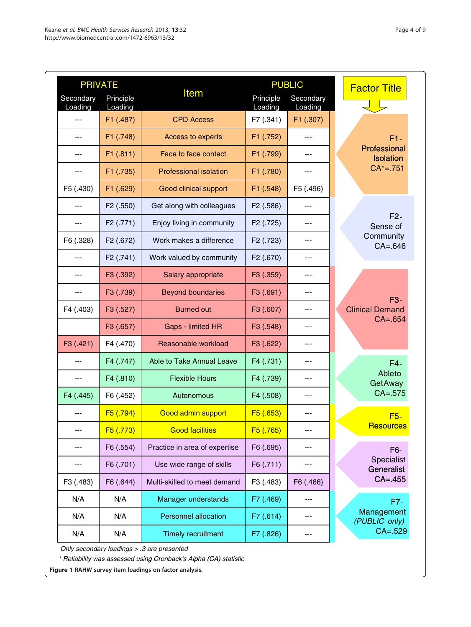<span id="page-3-0"></span>

| <b>PRIVATE</b>       |                       |                               | <b>PUBLIC</b><br><b>Factor Title</b> |                      |                                  |  |
|----------------------|-----------------------|-------------------------------|--------------------------------------|----------------------|----------------------------------|--|
| Secondary<br>Loading | Principle<br>Loading  | Item                          | Principle<br>Loading                 | Secondary<br>Loading |                                  |  |
|                      | F1 (.487)             | <b>CPD Access</b>             | F7 (.341)                            | F1 (.307)            |                                  |  |
| ---                  | F1(.748)              | Access to experts             | F1 (.752)                            | ---                  | $F1-$                            |  |
|                      | F1(.811)              | Face to face contact          | F1 (.799)                            | ---                  | Professional<br><b>Isolation</b> |  |
|                      | F1 (.735)             | <b>Professional isolation</b> | F1 (.780)                            | ---                  | $CA^* = .751$                    |  |
| F5 (.430)            | F1 (.629)             | Good clinical support         | F1(.548)                             | F5 (.496)            |                                  |  |
| ---                  | F <sub>2</sub> (.550) | Get along with colleagues     | F <sub>2</sub> (.586)                | ---                  |                                  |  |
| ---                  | F <sub>2</sub> (.771) | Enjoy living in community     | F <sub>2</sub> (.725)                | ---                  | $F2-$<br>Sense of                |  |
| F6 (.328)            | F <sub>2</sub> (.672) | Work makes a difference       | F <sub>2</sub> (.723)                | ---                  | Community<br>$CA = 646$          |  |
|                      | F <sub>2</sub> (.741) | Work valued by community      | F <sub>2</sub> (.670)                | $---$                |                                  |  |
|                      | F3 (.392)             | Salary appropriate            | F3 (.359)                            | ---                  |                                  |  |
| ---                  | F3 (.739)             | <b>Beyond boundaries</b>      | F3 (.691)                            | ---                  | F <sub>3</sub> -                 |  |
| F4 (.403)            | F3 (.527)             | <b>Burned out</b>             | F3 (.607)                            | ---                  | <b>Clinical Demand</b>           |  |
|                      | F3 (.657)             | Gaps - limited HR             | F3 (.548)                            | ---                  | $CA=.654$                        |  |
| F3 (.421)            | F4 (.470)             | Reasonable workload           | F3 (.622)                            | ---                  |                                  |  |
|                      | F4 (.747)             | Able to Take Annual Leave     | F4 (.731)                            | ---                  | $F4 -$                           |  |
|                      | F4 (.810)             | <b>Flexible Hours</b>         | F4 (.739)                            | ---                  | Ableto<br>GetAway                |  |
| F4 (.445)            | F6 (.452)             | Autonomous                    | F4 (.508)                            | ---                  | $CA = .575$                      |  |
|                      | F5(.794)              | Good admin support            | F <sub>5</sub> (.653)                | ---                  | $F5-$                            |  |
| ---                  | F <sub>5</sub> (.773) | <b>Good facilities</b>        | F5(.765)                             | ---                  | <b>Resources</b>                 |  |
|                      | F6 (.554)             | Practice in area of expertise | F6 (.695)                            |                      | F6-                              |  |
| ---                  | F6 (.701)             | Use wide range of skills      | F6 (.711)                            | ---                  | <b>Specialist</b><br>Generalist  |  |
| F3 (.483)            | F6 (.644)             | Multi-skilled to meet demand  | F3 (.483)                            | F6 (.466)            | $CA = .455$                      |  |
| N/A                  | N/A                   | Manager understands           | F7 (.469)                            | ---                  | $F7-$                            |  |
| N/A                  | N/A                   | <b>Personnel allocation</b>   | F7 (.614)                            | ---                  | Management<br>(PUBLIC only)      |  |
| N/A                  | N/A                   | <b>Timely recruitment</b>     | F7 (.826)                            | ---                  | $CA=.529$                        |  |

 *Only secondary loadings > .3 are presented* 

*\* Reliability g was assessed using Cronback's Alpha (CA) statistic p()*

Figure 1 RAHW survey item loadings on factor analysis.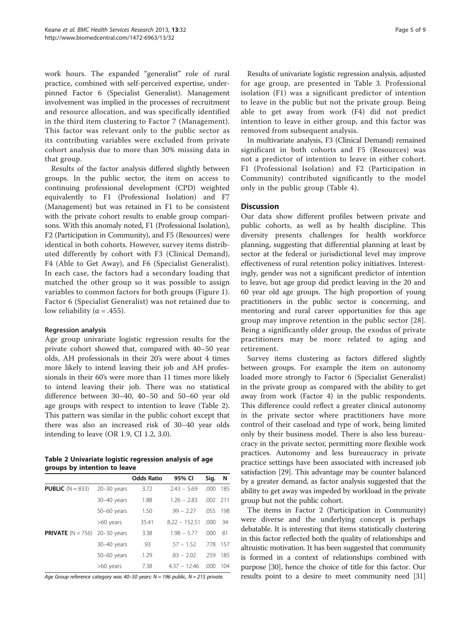work hours. The expanded "generalist" role of rural practice, combined with self-perceived expertise, underpinned Factor 6 (Specialist Generalist). Management involvement was implied in the processes of recruitment and resource allocation, and was specifically identified in the third item clustering to Factor 7 (Management). This factor was relevant only to the public sector as its contributing variables were excluded from private cohort analysis due to more than 30% missing data in that group.

Results of the factor analysis differed slightly between groups. In the public sector, the item on access to continuing professional development (CPD) weighted equivalently to F1 (Professional Isolation) and F7 (Management) but was retained in F1 to be consistent with the private cohort results to enable group comparisons. With this anomaly noted, F1 (Professional Isolation), F2 (Participation in Community), and F5 (Resources) were identical in both cohorts. However, survey items distributed differently by cohort with F3 (Clinical Demand), F4 (Able to Get Away), and F6 (Specialist Generalist). In each case, the factors had a secondary loading that matched the other group so it was possible to assign variables to common factors for both groups (Figure [1](#page-3-0)). Factor 6 (Specialist Generalist) was not retained due to low reliability ( $\alpha = .455$ ).

# Regression analysis

Age group univariate logistic regression results for the private cohort showed that, compared with 40–50 year olds, AH professionals in their 20's were about 4 times more likely to intend leaving their job and AH professionals in their 60's were more than 11 times more likely to intend leaving their job. There was no statistical difference between 30–40, 40–50 and 50–60 year old age groups with respect to intention to leave (Table 2). This pattern was similar in the public cohort except that there was also an increased risk of 30–40 year olds intending to leave (OR 1.9, CI 1.2, 3.0).

#### Table 2 Univariate logistic regression analysis of age groups by intention to leave

|                             |                 | <b>Odds Ratio</b> | 95% CI          | Sig. | N    |
|-----------------------------|-----------------|-------------------|-----------------|------|------|
| <b>PUBLIC</b> ( $N = 833$ ) | $20 - 30$ years | 3.72              | $2.43 - 5.69$   | .000 | 185  |
|                             | 30-40 years     | 1.88              | $1.26 - 2.83$   | .002 | -211 |
|                             | 50-60 years     | 1.50              | $.99 - 2.27$    | .055 | 198  |
|                             | >60 years       | 35.41             | $8.22 - 152.51$ | .000 | -34  |
| <b>PRIVATE</b> $(N = 756)$  | $20 - 30$ years | 3.38              | $1.98 - 5.77$   | .000 | 81   |
|                             | 30-40 years     | .93               | $.57 - 1.52$    | .778 | 157  |
|                             | 50-60 years     | 1.29              | $.83 - 2.02$    | .259 | 185  |
|                             | >60 years       | 7.38              | $4.37 - 12.46$  | .000 | 104  |

Age Group reference category was 40–50 years:  $N = 196$  public,  $N = 215$  private.

Results of univariate logistic regression analysis, adjusted for age group, are presented in Table [3](#page-5-0). Professional isolation (F1) was a significant predictor of intention to leave in the public but not the private group. Being able to get away from work (F4) did not predict intention to leave in either group, and this factor was removed from subsequent analysis.

In multivariate analysis, F3 (Clinical Demand) remained significant in both cohorts and F5 (Resources) was not a predictor of intention to leave in either cohort. F1 (Professional Isolation) and F2 (Participation in Community) contributed significantly to the model only in the public group (Table [4](#page-5-0)).

# **Discussion**

Our data show different profiles between private and public cohorts, as well as by health discipline. This diversity presents challenges for health workforce planning, suggesting that differential planning at least by sector at the federal or jurisdictional level may improve effectiveness of rural retention policy initiatives. Interestingly, gender was not a significant predictor of intention to leave, but age group did predict leaving in the 20 and 60 year old age groups. The high proportion of young practitioners in the public sector is concerning, and mentoring and rural career opportunities for this age group may improve retention in the public sector [[28](#page-7-0)]. Being a significantly older group, the exodus of private practitioners may be more related to aging and retirement.

Survey items clustering as factors differed slightly between groups. For example the item on autonomy loaded more strongly to Factor 6 (Specialist Generalist) in the private group as compared with the ability to get away from work (Factor 4) in the public respondents. This difference could reflect a greater clinical autonomy in the private sector where practitioners have more control of their caseload and type of work, being limited only by their business model. There is also less bureaucracy in the private sector, permitting more flexible work practices. Autonomy and less bureaucracy in private practice settings have been associated with increased job satisfaction [\[29](#page-7-0)]. This advantage may be counter balanced by a greater demand, as factor analysis suggested that the ability to get away was impeded by workload in the private group but not the public cohort.

The items in Factor 2 (Participation in Community) were diverse and the underlying concept is perhaps debatable. It is interesting that items statistically clustering in this factor reflected both the quality of relationships and altruistic motivation. It has been suggested that community is formed in a context of relationships combined with purpose [[30](#page-7-0)], hence the choice of title for this factor. Our results point to a desire to meet community need [\[31](#page-7-0)]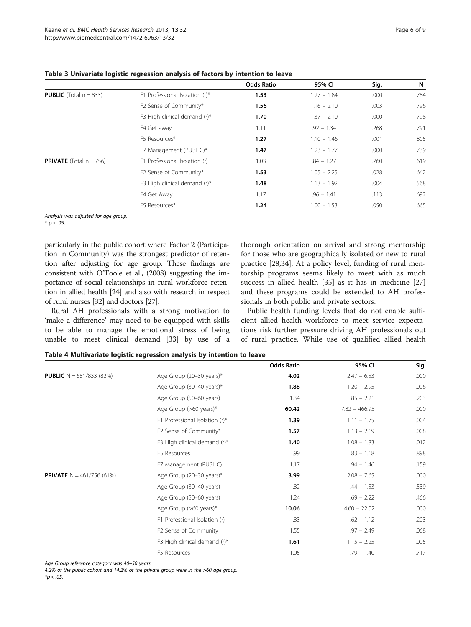|                                   |                                | <b>Odds Ratio</b> | 95% CI        | Sig. | N   |
|-----------------------------------|--------------------------------|-------------------|---------------|------|-----|
| <b>PUBLIC</b> (Total $n = 833$ )  | F1 Professional Isolation (r)* | 1.53              | $1.27 - 1.84$ | .000 | 784 |
|                                   | F2 Sense of Community*         | 1.56              | $1.16 - 2.10$ | .003 | 796 |
|                                   | F3 High clinical demand (r)*   | 1.70              | $1.37 - 2.10$ | .000 | 798 |
|                                   | F4 Get away                    | 1.11              | $.92 - 1.34$  | .268 | 791 |
|                                   | F5 Resources*                  | 1.27              | $1.10 - 1.46$ | .001 | 805 |
|                                   | F7 Management (PUBLIC)*        | 1.47              | $1.23 - 1.77$ | .000 | 739 |
| <b>PRIVATE</b> (Total $n = 756$ ) | F1 Professional Isolation (r)  | 1.03              | $.84 - 1.27$  | .760 | 619 |
|                                   | F2 Sense of Community*         | 1.53              | $1.05 - 2.25$ | .028 | 642 |
|                                   | F3 High clinical demand (r)*   | 1.48              | $1.13 - 1.92$ | .004 | 568 |
|                                   | F4 Get Away                    | 1.17              | $.96 - 1.41$  | .113 | 692 |
|                                   | F5 Resources*                  | 1.24              | $1.00 - 1.53$ | .050 | 665 |

<span id="page-5-0"></span>Table 3 Univariate logistic regression analysis of factors by intention to leave

Analysis was adjusted for age group.

 $*$  p < .05.

particularly in the public cohort where Factor 2 (Participation in Community) was the strongest predictor of retention after adjusting for age group. These findings are consistent with O'Toole et al., (2008) suggesting the importance of social relationships in rural workforce retention in allied health [[24](#page-7-0)] and also with research in respect of rural nurses [[32](#page-7-0)] and doctors [\[27\]](#page-7-0).

Rural AH professionals with a strong motivation to 'make a difference' may need to be equipped with skills to be able to manage the emotional stress of being unable to meet clinical demand [\[33](#page-7-0)] by use of a

thorough orientation on arrival and strong mentorship for those who are geographically isolated or new to rural practice [[28](#page-7-0),[34](#page-7-0)]. At a policy level, funding of rural mentorship programs seems likely to meet with as much success in allied health [\[35](#page-7-0)] as it has in medicine [[27](#page-7-0)] and these programs could be extended to AH professionals in both public and private sectors.

Public health funding levels that do not enable sufficient allied health workforce to meet service expectations risk further pressure driving AH professionals out of rural practice. While use of qualified allied health

| Table 4 Multivariate logistic regression analysis by intention to leave |  |  |  |  |  |
|-------------------------------------------------------------------------|--|--|--|--|--|
|-------------------------------------------------------------------------|--|--|--|--|--|

|                                    |                                | <b>Odds Ratio</b> | 95% CI          | Sig. |
|------------------------------------|--------------------------------|-------------------|-----------------|------|
| <b>PUBLIC</b> $N = 681/833$ (82%)  | Age Group (20-30 years)*       | 4.02              | $2.47 - 6.53$   | .000 |
|                                    | Age Group (30-40 years)*       | 1.88              | $1.20 - 2.95$   | .006 |
|                                    | Age Group (50-60 years)        | 1.34              | $.85 - 2.21$    | .203 |
|                                    | Age Group (>60 years)*         | 60.42             | $7.82 - 466.95$ | .000 |
|                                    | F1 Professional Isolation (r)* | 1.39              | $1.11 - 1.75$   | .004 |
|                                    | F2 Sense of Community*         | 1.57              | $1.13 - 2.19$   | .008 |
|                                    | F3 High clinical demand (r)*   | 1.40              | $1.08 - 1.83$   | .012 |
|                                    | F5 Resources                   | .99               | $.83 - 1.18$    | .898 |
|                                    | F7 Management (PUBLIC)         | 1.17              | $.94 - 1.46$    | .159 |
| <b>PRIVATE</b> $N = 461/756(61\%)$ | Age Group (20-30 years)*       | 3.99              | $2.08 - 7.65$   | .000 |
|                                    | Age Group (30-40 years)        | .82               | $.44 - 1.53$    | .539 |
|                                    | Age Group (50-60 years)        | 1.24              | $.69 - 2.22$    | .466 |
|                                    | Age Group (>60 years)*         | 10.06             | $4.60 - 22.02$  | .000 |
|                                    | F1 Professional Isolation (r)  | .83               | $.62 - 1.12$    | .203 |
|                                    | F2 Sense of Community          | 1.55              | $.97 - 2.49$    | .068 |
|                                    | F3 High clinical demand (r)*   | 1.61              | $1.15 - 2.25$   | .005 |
|                                    | F5 Resources                   | 1.05              | $.79 - 1.40$    | .717 |

Age Group reference category was 40–50 years.

4.2% of the public cohort and 14.2% of the private group were in the >60 age group.  $*_{p}$  < .05.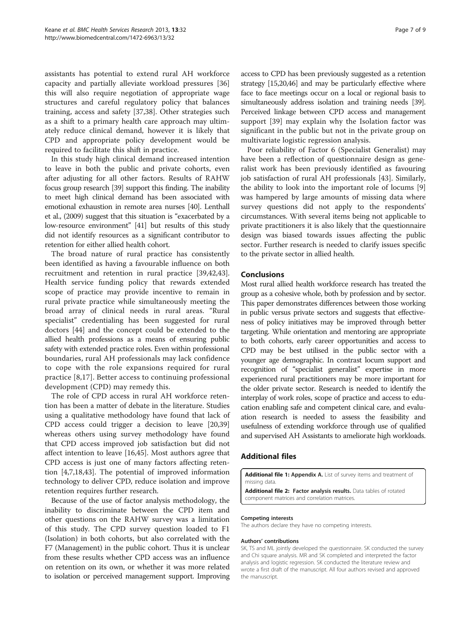<span id="page-6-0"></span>assistants has potential to extend rural AH workforce capacity and partially alleviate workload pressures [[36](#page-7-0)] this will also require negotiation of appropriate wage structures and careful regulatory policy that balances training, access and safety [[37](#page-7-0),[38](#page-7-0)]. Other strategies such as a shift to a primary health care approach may ultimately reduce clinical demand, however it is likely that CPD and appropriate policy development would be required to facilitate this shift in practice.

In this study high clinical demand increased intention to leave in both the public and private cohorts, even after adjusting for all other factors. Results of RAHW focus group research [\[39](#page-7-0)] support this finding. The inability to meet high clinical demand has been associated with emotional exhaustion in remote area nurses [\[40\]](#page-7-0). Lenthall et al., (2009) suggest that this situation is "exacerbated by a low-resource environment" [\[41\]](#page-7-0) but results of this study did not identify resources as a significant contributor to retention for either allied health cohort.

The broad nature of rural practice has consistently been identified as having a favourable influence on both recruitment and retention in rural practice [\[39,42,43](#page-7-0)]. Health service funding policy that rewards extended scope of practice may provide incentive to remain in rural private practice while simultaneously meeting the broad array of clinical needs in rural areas. "Rural specialist" credentialing has been suggested for rural doctors [\[44](#page-7-0)] and the concept could be extended to the allied health professions as a means of ensuring public safety with extended practice roles. Even within professional boundaries, rural AH professionals may lack confidence to cope with the role expansions required for rural practice [\[8,17](#page-7-0)]. Better access to continuing professional development (CPD) may remedy this.

The role of CPD access in rural AH workforce retention has been a matter of debate in the literature. Studies using a qualitative methodology have found that lack of CPD access could trigger a decision to leave [[20](#page-7-0),[39](#page-7-0)] whereas others using survey methodology have found that CPD access improved job satisfaction but did not affect intention to leave [[16,](#page-7-0)[45\]](#page-8-0). Most authors agree that CPD access is just one of many factors affecting retention [\[4,7](#page-7-0),[18,43](#page-7-0)]. The potential of improved information technology to deliver CPD, reduce isolation and improve retention requires further research.

Because of the use of factor analysis methodology, the inability to discriminate between the CPD item and other questions on the RAHW survey was a limitation of this study. The CPD survey question loaded to F1 (Isolation) in both cohorts, but also correlated with the F7 (Management) in the public cohort. Thus it is unclear from these results whether CPD access was an influence on retention on its own, or whether it was more related to isolation or perceived management support. Improving

access to CPD has been previously suggested as a retention strategy [[15,20](#page-7-0)[,46\]](#page-8-0) and may be particularly effective where face to face meetings occur on a local or regional basis to simultaneously address isolation and training needs [\[39](#page-7-0)]. Perceived linkage between CPD access and management support [\[39](#page-7-0)] may explain why the Isolation factor was significant in the public but not in the private group on multivariate logistic regression analysis.

Poor reliability of Factor 6 (Specialist Generalist) may have been a reflection of questionnaire design as generalist work has been previously identified as favouring job satisfaction of rural AH professionals [[43\]](#page-7-0). Similarly, the ability to look into the important role of locums [\[9](#page-7-0)] was hampered by large amounts of missing data where survey questions did not apply to the respondents' circumstances. With several items being not applicable to private practitioners it is also likely that the questionnaire design was biased towards issues affecting the public sector. Further research is needed to clarify issues specific to the private sector in allied health.

#### Conclusions

Most rural allied health workforce research has treated the group as a cohesive whole, both by profession and by sector. This paper demonstrates differences between those working in public versus private sectors and suggests that effectiveness of policy initiatives may be improved through better targeting. While orientation and mentoring are appropriate to both cohorts, early career opportunities and access to CPD may be best utilised in the public sector with a younger age demographic. In contrast locum support and recognition of "specialist generalist" expertise in more experienced rural practitioners may be more important for the older private sector. Research is needed to identify the interplay of work roles, scope of practice and access to education enabling safe and competent clinical care, and evaluation research is needed to assess the feasibility and usefulness of extending workforce through use of qualified and supervised AH Assistants to ameliorate high workloads.

# Additional files

[Additional file 1:](http://www.biomedcentral.com/content/supplementary/1472-6963-13-32-S1.doc) Appendix A. List of survey items and treatment of missing data.

[Additional file 2:](http://www.biomedcentral.com/content/supplementary/1472-6963-13-32-S2.doc) Factor analysis results. Data tables of rotated component matrices and correlation matrices.

#### Competing interests

The authors declare they have no competing interests.

#### Authors' contributions

SK, TS and ML jointly developed the questionnaire. SK conducted the survey and Chi square analysis. MR and SK completed and interpreted the factor analysis and logistic regression. SK conducted the literature review and wrote a first draft of the manuscript. All four authors revised and approved the manuscript.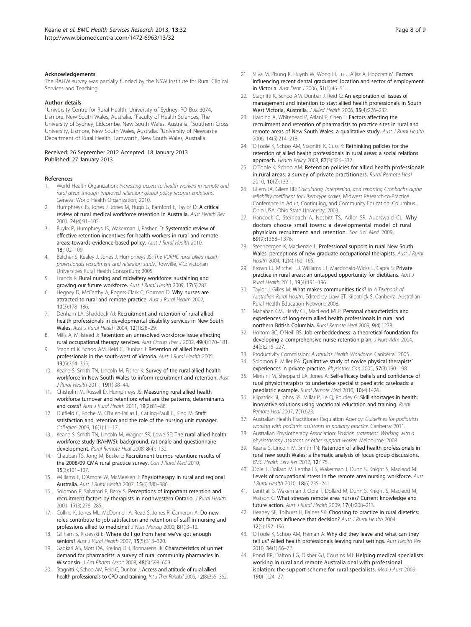#### <span id="page-7-0"></span>Acknowledgements

The RAHW survey was partially funded by the NSW Institute for Rural Clinical Services and Teaching.

#### Author details

<sup>1</sup>University Centre for Rural Health, University of Sydney, PO Box 3074, Lismore, New South Wales, Australia. <sup>2</sup>Faculty of Health Sciences, The University of Sydney, Lidcombe, New South Wales, Australia. <sup>3</sup>Southern Cross University, Lismore, New South Wales, Australia. <sup>4</sup>University of Newcastle Department of Rural Health, Tamworth, New South Wales, Australia.

#### Received: 26 September 2012 Accepted: 18 January 2013 Published: 27 January 2013

#### References

- 1. World Health Organization: Increasing access to health workers in remote and rural areas through improved retention: global policy recommendations. Geneva: World Health Organization; 2010.
- Humphreys JS, Jones J, Jones M, Hugo G, Bamford E, Taylor D: A critical review of rural medical workforce retention in Australia. Aust Health Rev 2001, 24(4):91–102.
- 3. Buykx P, Humphreys JS, Wakerman J, Pashen D: Systematic review of effective retention incentives for health workers in rural and remote areas: towards evidence-based policy. Aust J Rural Health 2010, 18:102–109.
- Belcher S, Kealey J, Jones J, Humphreys JS: The VURHC rural allied health professionals recruitment and retention study. Rowville, VIC: Victorian Universities Rural Health Consortium; 2005.
- 5. Francis K: Rural nursing and midwifery workforce: sustaining and growing our future workforce. Aust J Rural Health 2009, 17(5):287.
- Hegney D, McCarthy A, Rogers-Clark C, Gorman D: Why nurses are attracted to rural and remote practice. Aust J Rural Health 2002, 10(3):178–186.
- Denham LA, Shaddock AJ: Recruitment and retention of rural allied health professionals in developmental disability services in New South Wales. Aust J Rural Health 2004, 12(1):28–29.
- 8. Mills A, Millsteed J: Retention: an unresolved workforce issue affecting rural occupational therapy services. Aust Occup Ther J 2002, 49(4):170–181.
- Stagnitti K, Schoo AM, Reid C, Dunbar J: Retention of allied health professionals in the south-west of Victoria. Aust J Rural Health 2005, 13(6):364–365.
- 10. Keane S, Smith TN, Lincoln M, Fisher K: Survey of the rural allied health workforce in New South Wales to inform recruitment and retention. Aust J Rural Health 2011, 19(1):38–44.
- 11. Chisholm M, Russell D, Humphreys JS: Measuring rural allied health workforce turnover and retention: what are the patterns, determinants and costs? Aust J Rural Health 2011, 19(2):81–88.
- 12. Duffield C, Roche M, O'Brien-Pallas L, Catling-Paull C, King M: Staff satisfaction and retention and the role of the nursing unit manager. Collegian 2009, 16(1):11–17.
- 13. Keane S, Smith TN, Lincoln M, Wagner SR, Lowe SE: The rural allied health workforce study (RAHWS): background, rationale and questionnaire development. Rural Remote Heal 2008, 8(4):1132.
- 14. Chauban TS, Jong M, Buske L: Recruitment trumps retention: results of the 2008/09 CMA rural practice survey. Can J Rural Med 2010, 15(3):101–107.
- 15. Williams E, D'Amore W, McMeeken J: Physiotherapy in rural and regional Australia. Aust J Rural Health 2007, 15(6):380–386.
- 16. Solomon P, Salvatori P, Berry S: Perceptions of important retention and recruitment factors by therapists in northwestern Ontario. J Rural Health 2001, 17(3):278–285.
- 17. Collins K, Jones ML, McDonnell A, Read S, Jones R, Cameron A: Do new roles contribute to job satisfaction and retention of staff in nursing and professions allied to medicine? J Nurs Manag 2000, 8(1):3-12
- 18. Gillham S, Ristevski E: Where do I go from here: we've got enough seniors? Aust J Rural Health 2007, 15(5):313–320.
- 19. Gadkari AS, Mott DA, Kreling DH, Bonnarens JK: Characteristics of unmet demand for pharmacists: a survey of rural community pharmacies in Wisconsin. J Am Pharm Assoc 2008, 48(5):598–609.
- 20. Stagnitti K, Schoo AM, Reid C, Dunbar J: Access and attitude of rural allied health professionals to CPD and training. Int J Ther Rehabil 2005, 12(8):355-362.
- 21. Silva M, Phung K, Huynh W, Wong H, Lu J, Aijaz A, Hopcraft M: Factors influencing recent dental graduates' location and sector of employment in Victoria. Aust Dent J 2006, 51(1):46–51.
- 22. Stagnitti K, Schoo AM, Dunbar J, Reid C: An exploration of issues of management and intention to stay: allied health professionals in South West Victoria, Australia. J Allied Health 2006, 35(4):226–232.
- 23. Harding A, Whitehead P, Aslani P, Chen T: Factors affecting the recruitment and retention of pharmacists to practice sites in rural and remote areas of New South Wales: a qualitative study. Aust J Rural Health 2006, 14(5):214–218.
- 24. O'Toole K, Schoo AM, Stagnitti K, Cuss K: Rethinking policies for the retention of allied health professionals in rural areas: a social relations approach. Health Policy 2008, 87(3):326–332.
- 25. O'Toole K, Schoo AM: Retention policies for allied health professionals in rural areas: a survey of private practitioners. Rural Remote Heal 2010, 10(2):1331.
- 26. Gliem JA, Gliem RR: Calculating, interpreting, and reporting Cronbach's alpha reliability coefficient for Likert-type scales, Midwest Research-to-Practice Conference in Adult, Continuing, and Community Education. Columbus. Ohio USA: Ohio State University; 2003.
- 27. Hancock C, Steinbach A, Nesbitt TS, Adler SR, Auerswald CL: Why doctors choose small towns: a developmental model of rural physician recruitment and retention. Soc Sci Med 2009, 69(9):1368–1376.
- 28. Steenbergen K, Mackenzie L: Professional support in rural New South Wales: perceptions of new graduate occupational therapists. Aust J Rural Health 2004, 12(4):160–165.
- 29. Brown LJ, Mitchell LJ, Williams LT, Macdonald-Wicks L, Capra S: Private practice in rural areas: an untapped opportunity for dietitians. Aust J Rural Health 2011, 19(4):191–196.
- 30. Taylor J, Gilles M: What makes communities tick? In A Textbook of Australian Rural Health. Edited by Liaw ST, Kilpatrick S. Canberra: Australian Rural Health Education Network; 2008.
- 31. Manahan CM, Hardy CL, MacLeod MLP: Personal characteristics and experiences of long-term allied health professionals in rural and northern British Columbia. Rural Remote Heal 2009, 9(4):1238.
- 32. Holtom BC, O'Neill BS: Job embeddedness: a theoretical foundation for developing a comprehensive nurse retention plan. J Nurs Adm 2004, 34(5):216–227.
- 33. Productivity Commission: Australia's Health Workforce. Canberra:; 2005.
- 34. Solomon P, Miller PA: Qualitative study of novice physical therapists' experiences in private practice. Physiother Can 2005, 57(3):190–198.
- 35. Minisini M, Sheppard LA, Jones A: Self-efficacy beliefs and confidence of rural physiotherapists to undertake specialist paediatric caseloads: a paediatric example. Rural Remote Heal 2010, 10(4):1426.
- 36. Kilpatrick SI, Johns SS, Millar P, Le Q, Routley G: Skill shortages in health: innovative solutions using vocational education and training. Rural Remote Heal 2007, 7(1):623.
- 37. Australian Health Practitioner Regulation Agency: Guidelines for podiatrists working with podiatric assistants in podiatry practice. Canberra: 2011.
- 38. Australian Physiotherapy Association: Position statement: Working with a physiotherapy assistant or other support worker. Melbourne: 2008.
- 39. Keane S, Lincoln M, Smith TN: Retention of allied health professionals in rural new south Wales: a thematic analysis of focus group discussions. BMC Health Serv Res 2012, 12:175.
- 40. Opie T, Dollard M, Lenthall S, Wakerman J, Dunn S, Knight S, Macleod M: Levels of occupational stress in the remote area nursing workforce. Aust J Rural Health 2010, 18(6):235–241.
- 41. Lenthall S, Wakerman J, Opie T, Dollard M, Dunn S, Knight S, Macleod M, Watson C: What stresses remote area nurses? Current knowledge and future action. Aust J Rural Health 2009, 17(4):208–213.
- 42. Heaney SE, Tolhurst H, Baines SK: Choosing to practice in rural dietetics: what factors influence that decision? Aust J Rural Health 2004, 12(5):192–196.
- 43. O'Toole K, Schoo AM, Hernan A: Why did they leave and what can they tell us? Allied health professionals leaving rural settings. Aust Health Rev 2010, 34(1):66–72.
- 44. Pond BR, Dalton LG, Disher GJ, Cousins MJ: Helping medical specialists working in rural and remote Australia deal with professional isolation: the support scheme for rural specialists. Med J Aust 2009, 190(1):24–27.